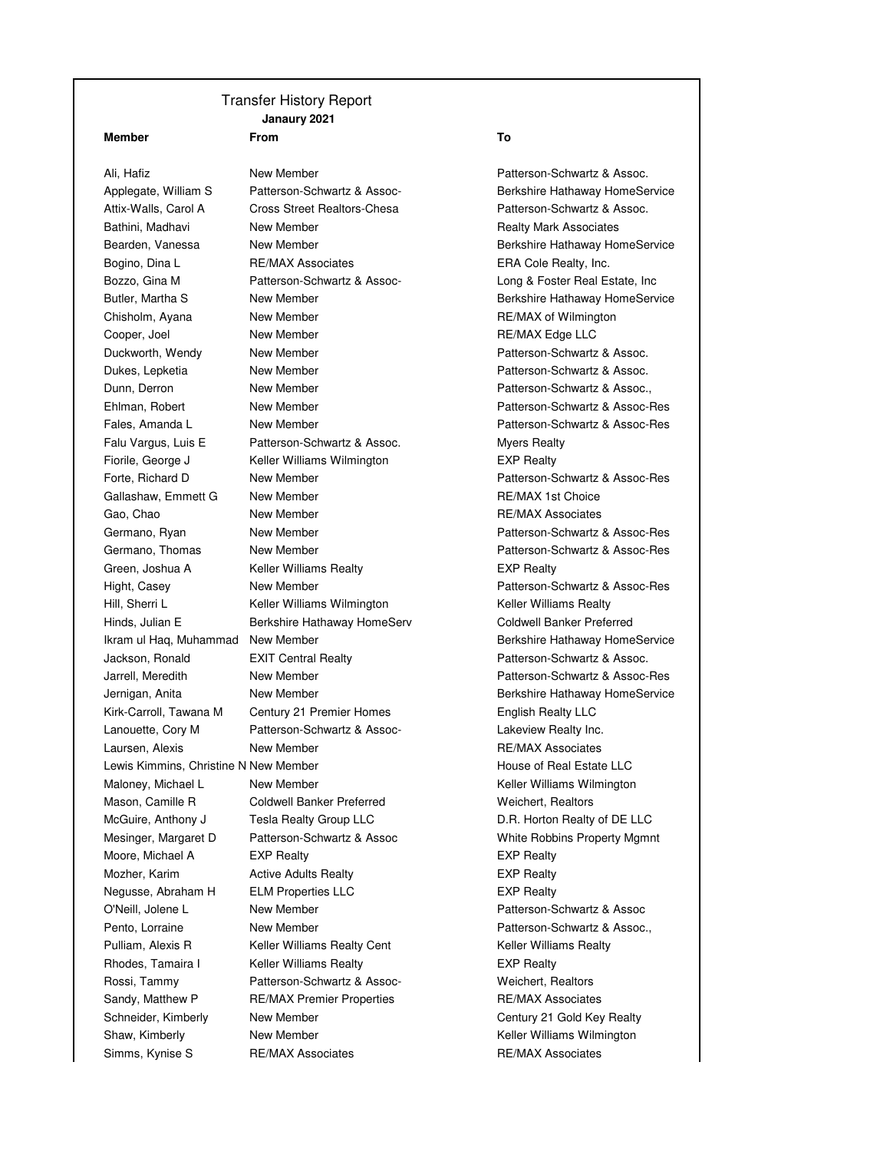## Transfer History Report **Janaury 2021**

## **Member From To**

Ali, Hafiz **New Member New Member Patterson-Schwartz & Assoc.** Attix-Walls, Carol A Cross Street Realtors-Chesa Patterson-Schwartz & Assoc. Bathini, Madhavi **New Member New Member Realty Mark Associates** Bogino, Dina L **RE/MAX Associates** ERA Cole Realty, Inc. Bozzo, Gina M **Patterson-Schwartz & Assoc-** Long & Foster Real Estate, Inc Chisholm, Ayana New Member New Young to the RE/MAX of Wilmington Cooper, Joel **New Member** New Member RE/MAX Edge LLC Duckworth, Wendy New Member **New Accommodato Contact Patterson-Schwartz & Assoc.** Dukes, Lepketia New Member Patterson-Schwartz & Assoc. Dunn, Derron New Member Patterson-Schwartz & Assoc., Falu Vargus, Luis E Patterson-Schwartz & Assoc. Myers Realty Fiorile, George J **Keller Williams Wilmington** EXP Realty Gallashaw, Emmett G New Member New Your Callashaw, Emmett G New Member 2012 Gao, Chao **New Member** New Hember **RE/MAX Associates** Green, Joshua A Keller Williams Realty **EXP Realty** Hill, Sherri L<br>
Keller Williams Keller Williams Wilmington<br>
Keller Williams Realty Hinds, Julian E **Berkshire Hathaway HomeServ** Coldwell Banker Preferred Jackson, Ronald EXIT Central Realty Patterson-Schwartz & Assoc. Kirk-Carroll, Tawana M Century 21 Premier Homes **English Realty LLC** Lanouette, Cory M Patterson-Schwartz & Assoc- Lakeview Realty Inc. Laursen, Alexis **New Member New Member RE/MAX Associates** Lewis Kimmins, Christine N New Member **House of Real Estate LLC** Maloney, Michael L Mew Member New Young Learn Meller Williams Wilmington Mason, Camille R Coldwell Banker Preferred Weichert, Realtors McGuire, Anthony J Tesla Realty Group LLC D.R. Horton Realty of DE LLC Mesinger, Margaret D Patterson-Schwartz & Assoc White Robbins Property Mgmnt Moore, Michael A EXP Realty **EXP Realty** EXP Realty Mozher, Karim Active Adults Realty EXP Realty Negusse, Abraham H ELM Properties LLC EXP Realty O'Neill, Jolene L New Member Patterson-Schwartz & Assoc Pento, Lorraine **New Member New Member Patterson-Schwartz & Assoc.**, Pulliam, Alexis R Keller Williams Realty Cent Communist Realty Keller Williams Realty Rhodes, Tamaira I Keller Williams Realty **Internal Communist COV** EXP Realty Rossi, Tammy Patterson-Schwartz & Assoc- Weichert, Realtors Sandy, Matthew P RE/MAX Premier Properties RE/MAX Associates Schneider, Kimberly Mew Member Century 21 Gold Key Realty

Applegate, William S Patterson-Schwartz & Assoc- Berkshire Hathaway HomeService Bearden, Vanessa New Member **Beart and Service** Berkshire Hathaway HomeService Butler, Martha S New Member **Berkshire Hathaway HomeService** Berkshire Hathaway HomeService Ehlman, Robert New Member Patterson-Schwartz & Assoc-Res Fales, Amanda L **New Member New Member Patterson-Schwartz & Assoc-Res** Forte, Richard D **New Member New Strategies Patterson-Schwartz & Assoc-Res** Germano, Ryan New Member **New Assoc-Res** Patterson-Schwartz & Assoc-Res Germano, Thomas New Member **New Accommodation-Schwartz & Assoc-Res** Patterson-Schwartz & Assoc-Res Hight, Casey **New Member New Hember** Patterson-Schwartz & Assoc-Res Ikram ul Haq, Muhammad New Member **Berkshire Hathaway HomeService** Berkshire Hathaway HomeService Jarrell, Meredith New Member Patterson-Schwartz & Assoc-Res Jernigan, Anita **New Member** New Member **Berkshire Hathaway HomeService Berkshire Hathaway HomeService** Shaw, Kimberly **New Member** New Member **New Shaw, Kimberly** Milliams Wilmington Simms, Kynise S RE/MAX Associates RE/MAX Associates